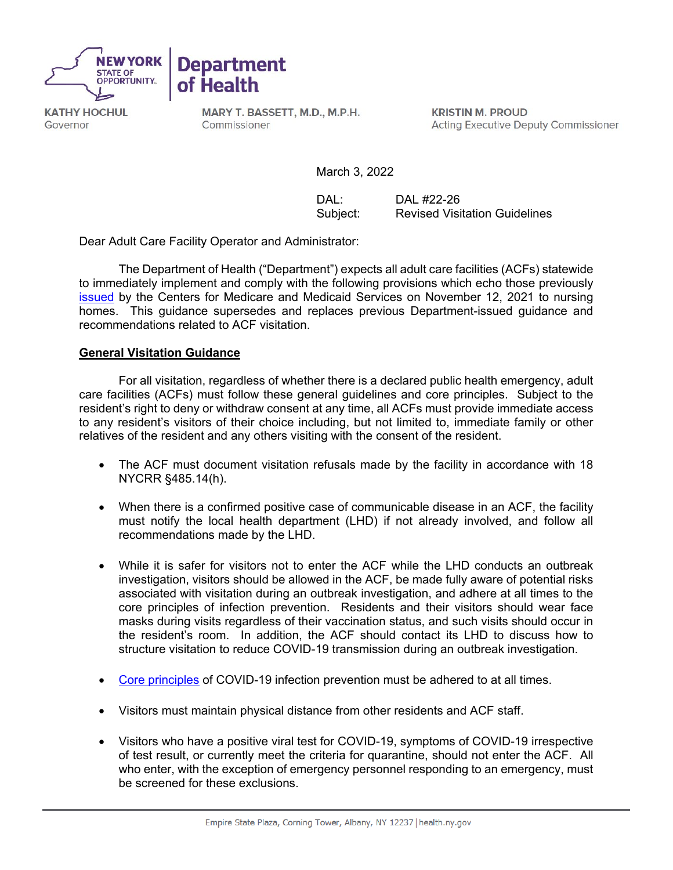



**KATHY HOCHUL** Governor

MARY T. BASSETT, M.D., M.P.H. Commissioner

**KRISTIN M. PROUD Acting Executive Deputy Commissioner** 

March 3, 2022

DAL: DAL #22-26<br>Subiect: Revised Visit **Revised Visitation Guidelines** 

Dear Adult Care Facility Operator and Administrator:

**Department** 

The Department of Health ("Department") expects all adult care facilities (ACFs) statewide to immediately implement and comply with the following provisions which echo those previously [issued](https://www.cms.gov/files/document/qso-20-39-nh-revised.pdf) by the Centers for Medicare and Medicaid Services on November 12, 2021 to nursing homes. This guidance supersedes and replaces previous Department-issued guidance and recommendations related to ACF visitation.

## **General Visitation Guidance**

For all visitation, regardless of whether there is a declared public health emergency, adult care facilities (ACFs) must follow these general guidelines and core principles. Subject to the resident's right to deny or withdraw consent at any time, all ACFs must provide immediate access to any resident's visitors of their choice including, but not limited to, immediate family or other relatives of the resident and any others visiting with the consent of the resident.

- The ACF must document visitation refusals made by the facility in accordance with 18 NYCRR §485.14(h).
- When there is a confirmed positive case of communicable disease in an ACF, the facility must notify the local health department (LHD) if not already involved, and follow all recommendations made by the LHD.
- While it is safer for visitors not to enter the ACF while the LHD conducts an outbreak investigation, visitors should be allowed in the ACF, be made fully aware of potential risks associated with visitation during an outbreak investigation, and adhere at all times to the core principles of infection prevention. Residents and their visitors should wear face masks during visits regardless of their vaccination status, and such visits should occur in the resident's room. In addition, the ACF should contact its LHD to discuss how to structure visitation to reduce COVID-19 transmission during an outbreak investigation.
- [Core principles](https://www.cms.gov/files/document/qso-20-39-nh-revised.pdf) of COVID-19 infection prevention must be adhered to at all times.
- Visitors must maintain physical distance from other residents and ACF staff.
- Visitors who have a positive viral test for COVID-19, symptoms of COVID-19 irrespective of test result, or currently meet the criteria for quarantine, should not enter the ACF. All who enter, with the exception of emergency personnel responding to an emergency, must be screened for these exclusions.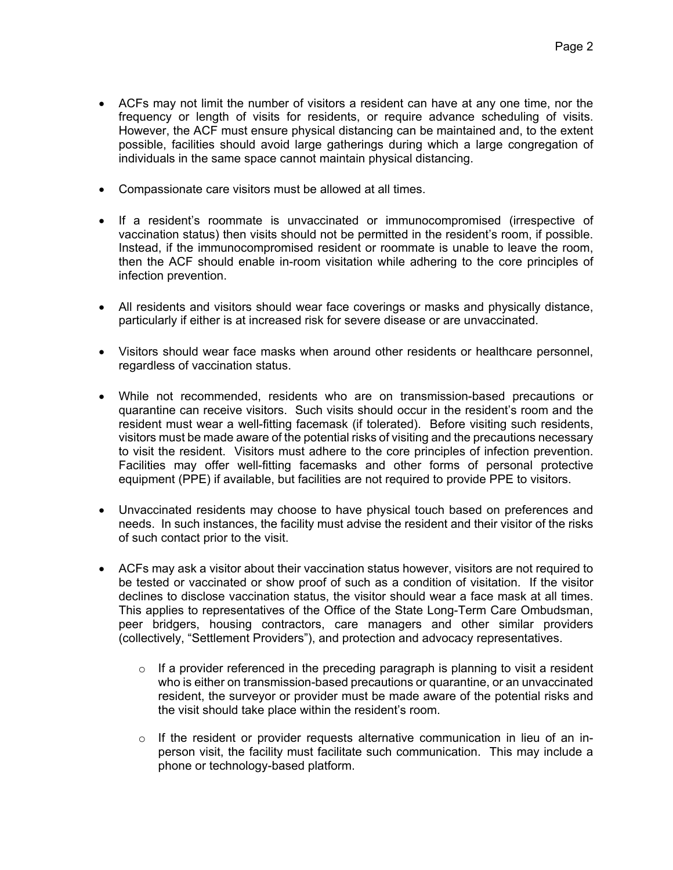- ACFs may not limit the number of visitors a resident can have at any one time, nor the frequency or length of visits for residents, or require advance scheduling of visits. However, the ACF must ensure physical distancing can be maintained and, to the extent possible, facilities should avoid large gatherings during which a large congregation of individuals in the same space cannot maintain physical distancing.
- Compassionate care visitors must be allowed at all times.
- If a resident's roommate is unvaccinated or immunocompromised (irrespective of vaccination status) then visits should not be permitted in the resident's room, if possible. Instead, if the immunocompromised resident or roommate is unable to leave the room, then the ACF should enable in-room visitation while adhering to the core principles of infection prevention.
- All residents and visitors should wear face coverings or masks and physically distance, particularly if either is at increased risk for severe disease or are unvaccinated.
- Visitors should wear face masks when around other residents or healthcare personnel, regardless of vaccination status.
- While not recommended, residents who are on transmission-based precautions or quarantine can receive visitors. Such visits should occur in the resident's room and the resident must wear a well-fitting facemask (if tolerated). Before visiting such residents, visitors must be made aware of the potential risks of visiting and the precautions necessary to visit the resident. Visitors must adhere to the core principles of infection prevention. Facilities may offer well-fitting facemasks and other forms of personal protective equipment (PPE) if available, but facilities are not required to provide PPE to visitors.
- Unvaccinated residents may choose to have physical touch based on preferences and needs. In such instances, the facility must advise the resident and their visitor of the risks of such contact prior to the visit.
- ACFs may ask a visitor about their vaccination status however, visitors are not required to be tested or vaccinated or show proof of such as a condition of visitation. If the visitor declines to disclose vaccination status, the visitor should wear a face mask at all times. This applies to representatives of the Office of the State Long-Term Care Ombudsman, peer bridgers, housing contractors, care managers and other similar providers (collectively, "Settlement Providers"), and protection and advocacy representatives.
	- $\circ$  If a provider referenced in the preceding paragraph is planning to visit a resident who is either on transmission-based precautions or quarantine, or an unvaccinated resident, the surveyor or provider must be made aware of the potential risks and the visit should take place within the resident's room.
	- $\circ$  If the resident or provider requests alternative communication in lieu of an inperson visit, the facility must facilitate such communication. This may include a phone or technology-based platform.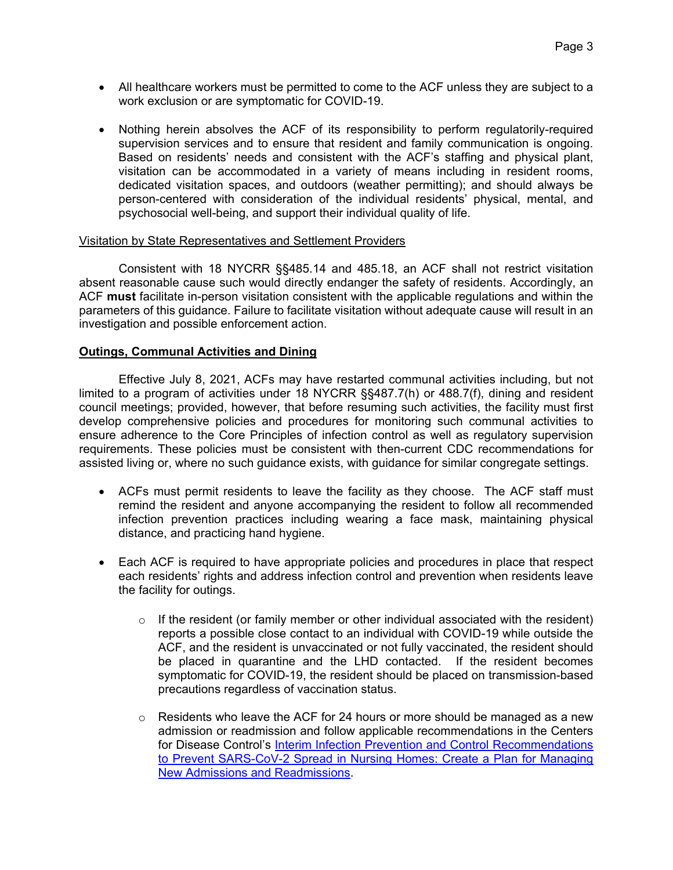- All healthcare workers must be permitted to come to the ACF unless they are subject to a work exclusion or are symptomatic for COVID-19.
- Nothing herein absolves the ACF of its responsibility to perform regulatorily-required supervision services and to ensure that resident and family communication is ongoing. Based on residents' needs and consistent with the ACF's staffing and physical plant, visitation can be accommodated in a variety of means including in resident rooms, dedicated visitation spaces, and outdoors (weather permitting); and should always be person-centered with consideration of the individual residents' physical, mental, and psychosocial well-being, and support their individual quality of life.

## Visitation by State Representatives and Settlement Providers

Consistent with 18 NYCRR §§485.14 and 485.18, an ACF shall not restrict visitation absent reasonable cause such would directly endanger the safety of residents. Accordingly, an ACF **must** facilitate in-person visitation consistent with the applicable regulations and within the parameters of this guidance. Failure to facilitate visitation without adequate cause will result in an investigation and possible enforcement action.

## **Outings, Communal Activities and Dining**

Effective July 8, 2021, ACFs may have restarted communal activities including, but not limited to a program of activities under 18 NYCRR §§487.7(h) or 488.7(f), dining and resident council meetings; provided, however, that before resuming such activities, the facility must first develop comprehensive policies and procedures for monitoring such communal activities to ensure adherence to the Core Principles of infection control as well as regulatory supervision requirements. These policies must be consistent with then-current CDC recommendations for assisted living or, where no such guidance exists, with guidance for similar congregate settings.

- ACFs must permit residents to leave the facility as they choose. The ACF staff must remind the resident and anyone accompanying the resident to follow all recommended infection prevention practices including wearing a face mask, maintaining physical distance, and practicing hand hygiene.
- Each ACF is required to have appropriate policies and procedures in place that respect each residents' rights and address infection control and prevention when residents leave the facility for outings.
	- $\circ$  If the resident (or family member or other individual associated with the resident) reports a possible close contact to an individual with COVID-19 while outside the ACF, and the resident is unvaccinated or not fully vaccinated, the resident should be placed in quarantine and the LHD contacted. If the resident becomes symptomatic for COVID-19, the resident should be placed on transmission-based precautions regardless of vaccination status.
	- $\circ$  Residents who leave the ACF for 24 hours or more should be managed as a new admission or readmission and follow applicable recommendations in the Centers for Disease Control's [Interim Infection Prevention and Control Recommendations](https://www.cdc.gov/coronavirus/2019-ncov/hcp/long-term-care.html#:%7E:text=Residents%20with%20suspected%20or%20confirmed,)%2C%20gloves%2C%20and%20gown.)  [to Prevent SARS-CoV-2 Spread in Nursing Homes:](https://www.cdc.gov/coronavirus/2019-ncov/hcp/long-term-care.html#:%7E:text=Residents%20with%20suspected%20or%20confirmed,)%2C%20gloves%2C%20and%20gown.) Create a Plan for Managing New Admissions and Readmissions.